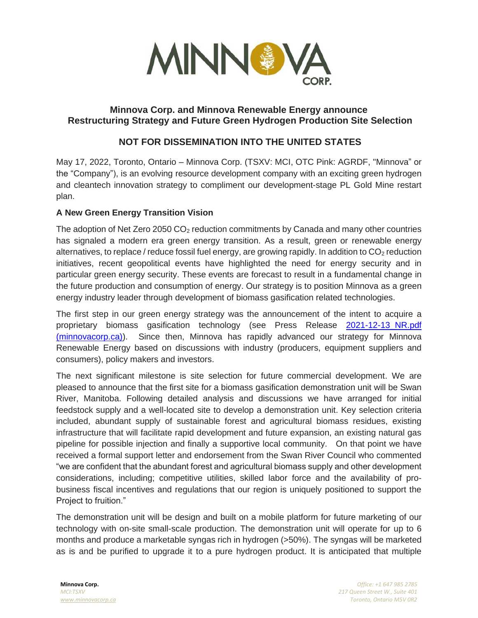

# **Minnova Corp. and Minnova Renewable Energy announce Restructuring Strategy and Future Green Hydrogen Production Site Selection**

# **NOT FOR DISSEMINATION INTO THE UNITED STATES**

May 17, 2022, Toronto, Ontario – Minnova Corp. (TSXV: MCI, OTC Pink: AGRDF, "Minnova" or the "Company"), is an evolving resource development company with an exciting green hydrogen and cleantech innovation strategy to compliment our development-stage PL Gold Mine restart plan.

### **A New Green Energy Transition Vision**

The adoption of Net Zero 2050  $CO<sub>2</sub>$  reduction commitments by Canada and many other countries has signaled a modern era green energy transition. As a result, green or renewable energy alternatives, to replace / reduce fossil fuel energy, are growing rapidly. In addition to  $CO<sub>2</sub>$  reduction initiatives, recent geopolitical events have highlighted the need for energy security and in particular green energy security. These events are forecast to result in a fundamental change in the future production and consumption of energy. Our strategy is to position Minnova as a green energy industry leader through development of biomass gasification related technologies.

The first step in our green energy strategy was the announcement of the intent to acquire a proprietary biomass gasification technology (see Press Release [2021-12-13\\_NR.pdf](https://minnovacorp.ca/2021-12-13_NR.pdf)  [\(minnovacorp.ca\)\)](https://minnovacorp.ca/2021-12-13_NR.pdf). Since then, Minnova has rapidly advanced our strategy for Minnova Renewable Energy based on discussions with industry (producers, equipment suppliers and consumers), policy makers and investors.

The next significant milestone is site selection for future commercial development. We are pleased to announce that the first site for a biomass gasification demonstration unit will be Swan River, Manitoba. Following detailed analysis and discussions we have arranged for initial feedstock supply and a well-located site to develop a demonstration unit. Key selection criteria included, abundant supply of sustainable forest and agricultural biomass residues, existing infrastructure that will facilitate rapid development and future expansion, an existing natural gas pipeline for possible injection and finally a supportive local community. On that point we have received a formal support letter and endorsement from the Swan River Council who commented "we are confident that the abundant forest and agricultural biomass supply and other development considerations, including; competitive utilities, skilled labor force and the availability of probusiness fiscal incentives and regulations that our region is uniquely positioned to support the Project to fruition."

The demonstration unit will be design and built on a mobile platform for future marketing of our technology with on-site small-scale production. The demonstration unit will operate for up to 6 months and produce a marketable syngas rich in hydrogen (>50%). The syngas will be marketed as is and be purified to upgrade it to a pure hydrogen product. It is anticipated that multiple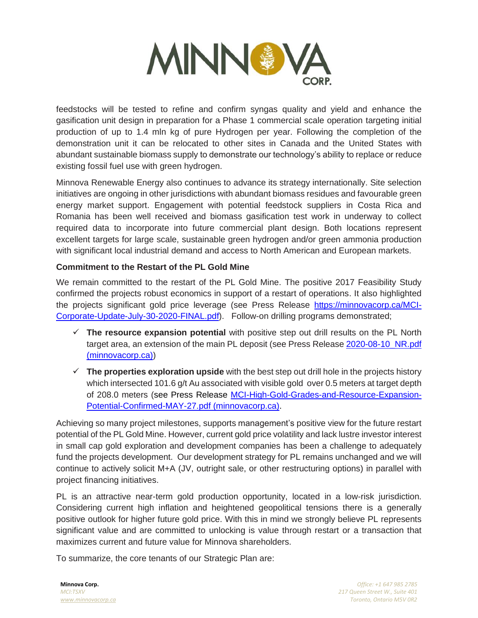

feedstocks will be tested to refine and confirm syngas quality and yield and enhance the gasification unit design in preparation for a Phase 1 commercial scale operation targeting initial production of up to 1.4 mln kg of pure Hydrogen per year. Following the completion of the demonstration unit it can be relocated to other sites in Canada and the United States with abundant sustainable biomass supply to demonstrate our technology's ability to replace or reduce existing fossil fuel use with green hydrogen.

Minnova Renewable Energy also continues to advance its strategy internationally. Site selection initiatives are ongoing in other jurisdictions with abundant biomass residues and favourable green energy market support. Engagement with potential feedstock suppliers in Costa Rica and Romania has been well received and biomass gasification test work in underway to collect required data to incorporate into future commercial plant design. Both locations represent excellent targets for large scale, sustainable green hydrogen and/or green ammonia production with significant local industrial demand and access to North American and European markets.

# **Commitment to the Restart of the PL Gold Mine**

We remain committed to the restart of the PL Gold Mine. The positive 2017 Feasibility Study confirmed the projects robust economics in support of a restart of operations. It also highlighted the projects significant gold price leverage (see Press Release [https://minnovacorp.ca/MCI-](https://minnovacorp.ca/MCI-Corporate-Update-July-30-2020-FINAL.pdf)[Corporate-Update-July-30-2020-FINAL.pdf\)](https://minnovacorp.ca/MCI-Corporate-Update-July-30-2020-FINAL.pdf). Follow-on drilling programs demonstrated;

- ✓ **The resource expansion potential** with positive step out drill results on the PL North target area, an extension of the main PL deposit (see Press Release 2020-08-10 NR.pdf [\(minnovacorp.ca\)\)](https://minnovacorp.ca/2020-08-10_NR.pdf)
- ✓ **The properties exploration upside** with the best step out drill hole in the projects history which intersected 101.6 g/t Au associated with visible gold over 0.5 meters at target depth of 208.0 meters [\(see Press Release MCI-High-Gold-Grades-and-Resource-Expansion-](https://minnovacorp.ca/MCI-High-Gold-Grades-and-Resource-Expansion-Potential-Confirmed-MAY-27.pdf)[Potential-Confirmed-MAY-27.pdf \(minnovacorp.ca\)](https://minnovacorp.ca/MCI-High-Gold-Grades-and-Resource-Expansion-Potential-Confirmed-MAY-27.pdf).

Achieving so many project milestones, supports management's positive view for the future restart potential of the PL Gold Mine. However, current gold price volatility and lack lustre investor interest in small cap gold exploration and development companies has been a challenge to adequately fund the projects development. Our development strategy for PL remains unchanged and we will continue to actively solicit M+A (JV, outright sale, or other restructuring options) in parallel with project financing initiatives.

PL is an attractive near-term gold production opportunity, located in a low-risk jurisdiction. Considering current high inflation and heightened geopolitical tensions there is a generally positive outlook for higher future gold price. With this in mind we strongly believe PL represents significant value and are committed to unlocking is value through restart or a transaction that maximizes current and future value for Minnova shareholders.

To summarize, the core tenants of our Strategic Plan are: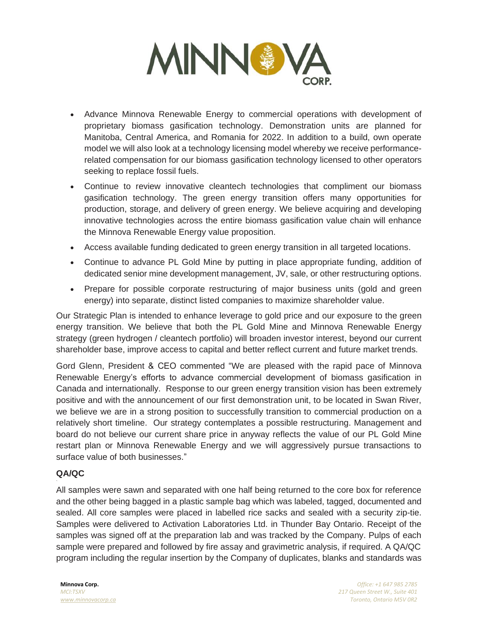

- Advance Minnova Renewable Energy to commercial operations with development of proprietary biomass gasification technology. Demonstration units are planned for Manitoba, Central America, and Romania for 2022. In addition to a build, own operate model we will also look at a technology licensing model whereby we receive performancerelated compensation for our biomass gasification technology licensed to other operators seeking to replace fossil fuels.
- Continue to review innovative cleantech technologies that compliment our biomass gasification technology. The green energy transition offers many opportunities for production, storage, and delivery of green energy. We believe acquiring and developing innovative technologies across the entire biomass gasification value chain will enhance the Minnova Renewable Energy value proposition.
- Access available funding dedicated to green energy transition in all targeted locations.
- Continue to advance PL Gold Mine by putting in place appropriate funding, addition of dedicated senior mine development management, JV, sale, or other restructuring options.
- Prepare for possible corporate restructuring of major business units (gold and green energy) into separate, distinct listed companies to maximize shareholder value.

Our Strategic Plan is intended to enhance leverage to gold price and our exposure to the green energy transition. We believe that both the PL Gold Mine and Minnova Renewable Energy strategy (green hydrogen / cleantech portfolio) will broaden investor interest, beyond our current shareholder base, improve access to capital and better reflect current and future market trends.

Gord Glenn, President & CEO commented "We are pleased with the rapid pace of Minnova Renewable Energy's efforts to advance commercial development of biomass gasification in Canada and internationally. Response to our green energy transition vision has been extremely positive and with the announcement of our first demonstration unit, to be located in Swan River, we believe we are in a strong position to successfully transition to commercial production on a relatively short timeline. Our strategy contemplates a possible restructuring. Management and board do not believe our current share price in anyway reflects the value of our PL Gold Mine restart plan or Minnova Renewable Energy and we will aggressively pursue transactions to surface value of both businesses."

### **QA/QC**

All samples were sawn and separated with one half being returned to the core box for reference and the other being bagged in a plastic sample bag which was labeled, tagged, documented and sealed. All core samples were placed in labelled rice sacks and sealed with a security zip-tie. Samples were delivered to Activation Laboratories Ltd. in Thunder Bay Ontario. Receipt of the samples was signed off at the preparation lab and was tracked by the Company. Pulps of each sample were prepared and followed by fire assay and gravimetric analysis, if required. A QA/QC program including the regular insertion by the Company of duplicates, blanks and standards was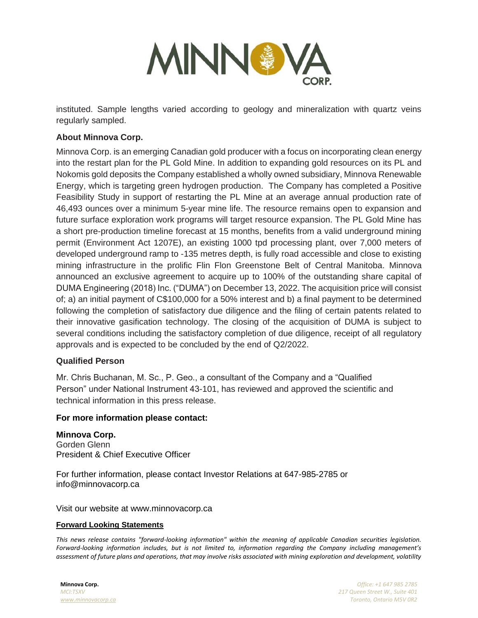

instituted. Sample lengths varied according to geology and mineralization with quartz veins regularly sampled.

## **About Minnova Corp.**

Minnova Corp. is an emerging Canadian gold producer with a focus on incorporating clean energy into the restart plan for the PL Gold Mine. In addition to expanding gold resources on its PL and Nokomis gold deposits the Company established a wholly owned subsidiary, Minnova Renewable Energy, which is targeting green hydrogen production. The Company has completed a Positive Feasibility Study in support of restarting the PL Mine at an average annual production rate of 46,493 ounces over a minimum 5-year mine life. The resource remains open to expansion and future surface exploration work programs will target resource expansion. The PL Gold Mine has a short pre-production timeline forecast at 15 months, benefits from a valid underground mining permit (Environment Act 1207E), an existing 1000 tpd processing plant, over 7,000 meters of developed underground ramp to -135 metres depth, is fully road accessible and close to existing mining infrastructure in the prolific Flin Flon Greenstone Belt of Central Manitoba. Minnova announced an exclusive agreement to acquire up to 100% of the outstanding share capital of DUMA Engineering (2018) Inc. ("DUMA") on December 13, 2022. The acquisition price will consist of; a) an initial payment of C\$100,000 for a 50% interest and b) a final payment to be determined following the completion of satisfactory due diligence and the filing of certain patents related to their innovative gasification technology. The closing of the acquisition of DUMA is subject to several conditions including the satisfactory completion of due diligence, receipt of all regulatory approvals and is expected to be concluded by the end of Q2/2022.

### **Qualified Person**

Mr. Chris Buchanan, M. Sc., P. Geo., a consultant of the Company and a "Qualified Person" under National Instrument 43-101, has reviewed and approved the scientific and technical information in this press release.

#### **For more information please contact:**

**Minnova Corp.** Gorden Glenn President & Chief Executive Officer

For further information, please contact Investor Relations at 647-985-2785 or info@minnovacorp.ca

Visit our website at www.minnovacorp.ca

#### **Forward Looking Statements**

*This news release contains "forward-looking information" within the meaning of applicable Canadian securities legislation. Forward-looking information includes, but is not limited to, information regarding the Company including management's assessment of future plans and operations, that may involve risks associated with mining exploration and development, volatility*